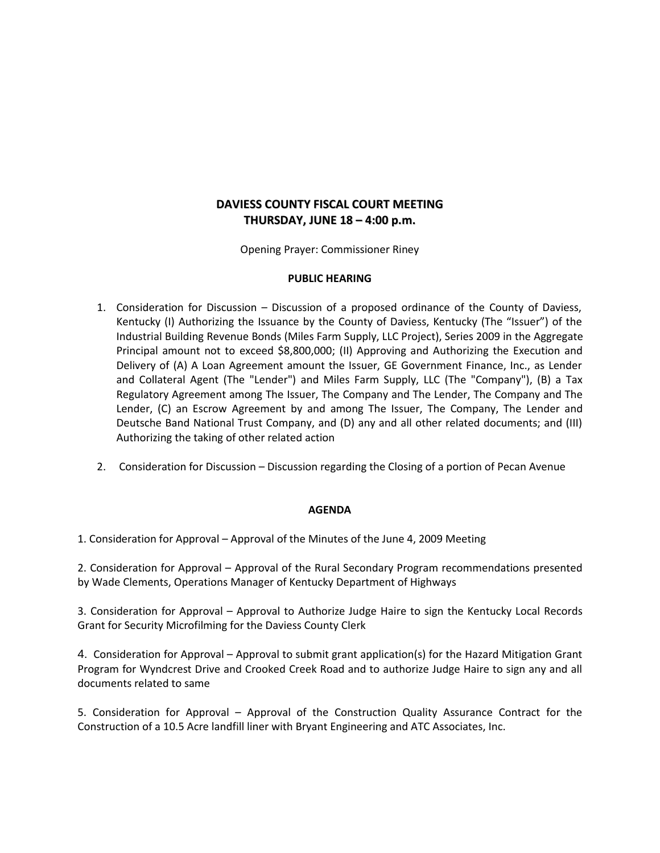## **DAVIESS COUNTY FISCAL COURT MEETING THURSDAY, JUNE 18 – 4:00 p.m.**

Opening Prayer: Commissioner Riney

## **PUBLIC HEARING**

- 1. Consideration for Discussion Discussion of a proposed ordinance of the County of Daviess, Kentucky (I) Authorizing the Issuance by the County of Daviess, Kentucky (The "Issuer") of the Industrial Building Revenue Bonds (Miles Farm Supply, LLC Project), Series 2009 in the Aggregate Principal amount not to exceed \$8,800,000; (II) Approving and Authorizing the Execution and Delivery of (A) A Loan Agreement amount the Issuer, GE Government Finance, Inc., as Lender and Collateral Agent (The "Lender") and Miles Farm Supply, LLC (The "Company"), (B) a Tax Regulatory Agreement among The Issuer, The Company and The Lender, The Company and The Lender, (C) an Escrow Agreement by and among The Issuer, The Company, The Lender and Deutsche Band National Trust Company, and (D) any and all other related documents; and (III) Authorizing the taking of other related action
- 2. Consideration for Discussion Discussion regarding the Closing of a portion of Pecan Avenue

## **AGENDA**

1. Consideration for Approval – Approval of the Minutes of the June 4, 2009 Meeting

2. Consideration for Approval – Approval of the Rural Secondary Program recommendations presented by Wade Clements, Operations Manager of Kentucky Department of Highways

3. Consideration for Approval – Approval to Authorize Judge Haire to sign the Kentucky Local Records Grant for Security Microfilming for the Daviess County Clerk

4. Consideration for Approval – Approval to submit grant application(s) for the Hazard Mitigation Grant Program for Wyndcrest Drive and Crooked Creek Road and to authorize Judge Haire to sign any and all documents related to same

5. Consideration for Approval – Approval of the Construction Quality Assurance Contract for the Construction of a 10.5 Acre landfill liner with Bryant Engineering and ATC Associates, Inc.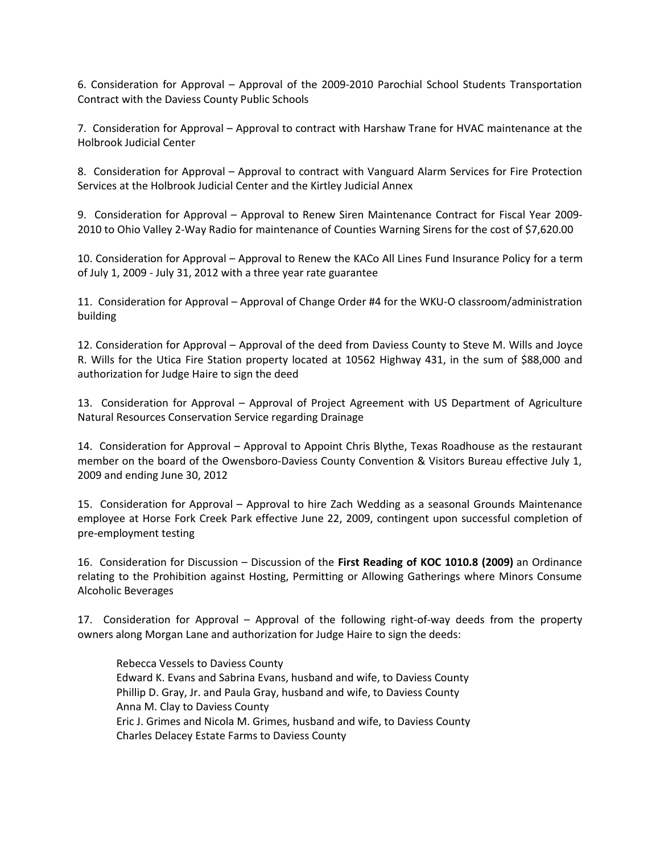6. Consideration for Approval – Approval of the 2009-2010 Parochial School Students Transportation Contract with the Daviess County Public Schools

7. Consideration for Approval – Approval to contract with Harshaw Trane for HVAC maintenance at the Holbrook Judicial Center

8. Consideration for Approval – Approval to contract with Vanguard Alarm Services for Fire Protection Services at the Holbrook Judicial Center and the Kirtley Judicial Annex

9. Consideration for Approval – Approval to Renew Siren Maintenance Contract for Fiscal Year 2009- 2010 to Ohio Valley 2-Way Radio for maintenance of Counties Warning Sirens for the cost of \$7,620.00

10. Consideration for Approval – Approval to Renew the KACo All Lines Fund Insurance Policy for a term of July 1, 2009 - July 31, 2012 with a three year rate guarantee

11. Consideration for Approval – Approval of Change Order #4 for the WKU-O classroom/administration building

12. Consideration for Approval – Approval of the deed from Daviess County to Steve M. Wills and Joyce R. Wills for the Utica Fire Station property located at 10562 Highway 431, in the sum of \$88,000 and authorization for Judge Haire to sign the deed

13. Consideration for Approval – Approval of Project Agreement with US Department of Agriculture Natural Resources Conservation Service regarding Drainage

14. Consideration for Approval – Approval to Appoint Chris Blythe, Texas Roadhouse as the restaurant member on the board of the Owensboro-Daviess County Convention & Visitors Bureau effective July 1, 2009 and ending June 30, 2012

15. Consideration for Approval – Approval to hire Zach Wedding as a seasonal Grounds Maintenance employee at Horse Fork Creek Park effective June 22, 2009, contingent upon successful completion of pre-employment testing

16. Consideration for Discussion – Discussion of the **First Reading of KOC 1010.8 (2009)** an Ordinance relating to the Prohibition against Hosting, Permitting or Allowing Gatherings where Minors Consume Alcoholic Beverages

17. Consideration for Approval – Approval of the following right-of-way deeds from the property owners along Morgan Lane and authorization for Judge Haire to sign the deeds:

Rebecca Vessels to Daviess County Edward K. Evans and Sabrina Evans, husband and wife, to Daviess County Phillip D. Gray, Jr. and Paula Gray, husband and wife, to Daviess County Anna M. Clay to Daviess County Eric J. Grimes and Nicola M. Grimes, husband and wife, to Daviess County Charles Delacey Estate Farms to Daviess County